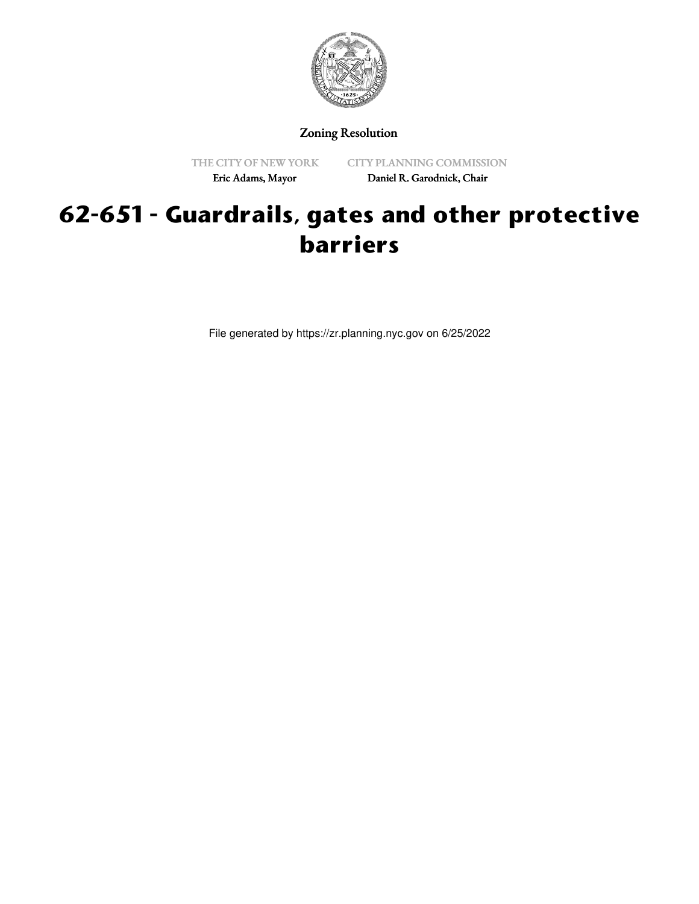

Zoning Resolution

THE CITY OF NEW YORK Eric Adams, Mayor

CITY PLANNING COMMISSION Daniel R. Garodnick, Chair

## **62-651 - Guardrails, gates and other protective barriers**

File generated by https://zr.planning.nyc.gov on 6/25/2022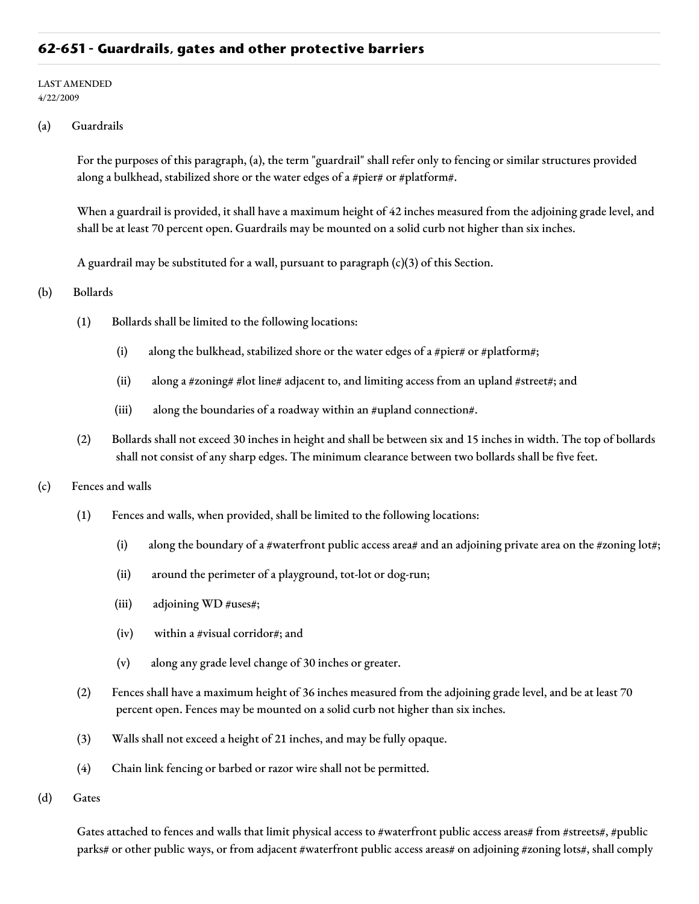## **62-651 - Guardrails, gates and other protective barriers**

## LAST AMENDED 4/22/2009

(a) Guardrails

For the purposes of this paragraph, (a), the term "guardrail" shall refer only to fencing or similar structures provided along a bulkhead, stabilized shore or the water edges of a #pier# or #platform#.

When a guardrail is provided, it shall have a maximum height of 42 inches measured from the adjoining grade level, and shall be at least 70 percent open. Guardrails may be mounted on a solid curb not higher than six inches.

A guardrail may be substituted for a wall, pursuant to paragraph (c)(3) of this Section.

- (b) Bollards
	- (1) Bollards shall be limited to the following locations:
		- (i) along the bulkhead, stabilized shore or the water edges of a #pier# or #platform#;
		- (ii) along a #zoning# #lot line# adjacent to, and limiting access from an upland #street#; and
		- (iii) along the boundaries of a roadway within an #upland connection#.
	- (2) Bollards shall not exceed 30 inches in height and shall be between six and 15 inches in width. The top of bollards shall not consist of any sharp edges. The minimum clearance between two bollards shall be five feet.
- (c) Fences and walls
	- (1) Fences and walls, when provided, shall be limited to the following locations:
		- (i) along the boundary of a #waterfront public access area# and an adjoining private area on the #zoning lot#;
		- (ii) around the perimeter of a playground, tot-lot or dog-run;
		- (iii) adjoining WD #uses#;
		- (iv) within a #visual corridor#; and
		- (v) along any grade level change of 30 inches or greater.
	- (2) Fences shall have a maximum height of 36 inches measured from the adjoining grade level, and be at least 70 percent open. Fences may be mounted on a solid curb not higher than six inches.
	- (3) Walls shall not exceed a height of 21 inches, and may be fully opaque.
	- (4) Chain link fencing or barbed or razor wire shall not be permitted.
- (d) Gates

Gates attached to fences and walls that limit physical access to #waterfront public access areas# from #streets#, #public parks# or other public ways, or from adjacent #waterfront public access areas# on adjoining #zoning lots#, shall comply